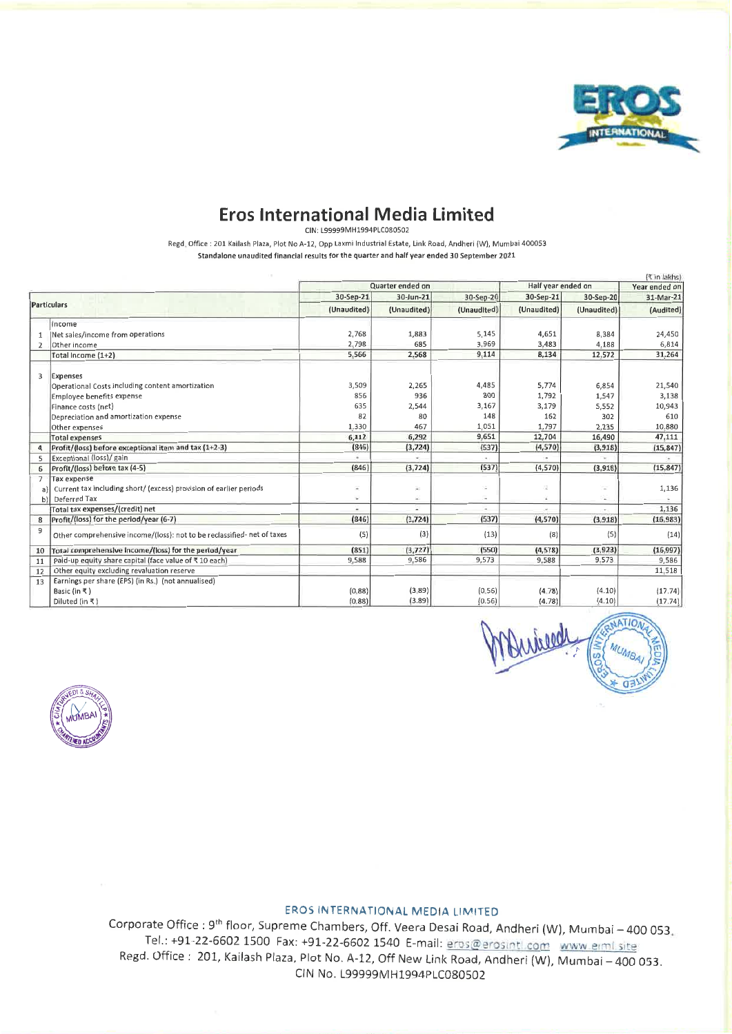

# **Eros International Media Limited**

CIN: L99999MH1994PLC080502

Regd. Office: 201 Kailash Plaza, Plot No A-12, Opp Laxmi Industrial Estate, Link Road, Andheri (W), Mumbai 400053 Standalone unaudited financial results for the quarter and half year ended 30 September 2021

|                |                                                                         |             |                  |                          |                          |             | (र in lakhs)  |
|----------------|-------------------------------------------------------------------------|-------------|------------------|--------------------------|--------------------------|-------------|---------------|
|                |                                                                         |             | Quarter ended on |                          | Half year ended on       |             | Year ended on |
|                |                                                                         | 30-Sep-21   | 30-Jun-21        | 30-Sep-20                | 30-Sep-21                | 30-Sep-20   | 31-Mar-21     |
|                | <b>Particulars</b>                                                      | (Unaudited) | (Unaudited)      | (Unaudited)              | (Unaudited)              | (Unaudited) | (Audited)     |
|                | Income                                                                  |             |                  |                          |                          |             |               |
| $\mathbf{1}$   | Net sales/income from operations                                        | 2,768       | 1,883            | 5,145                    | 4,651                    | 8,384       | 24,450        |
| $\overline{2}$ | Other income                                                            | 2,798       | 685              | 3,969                    | 3,483                    | 4,188       | 6,814         |
|                | Total Income (1+2)                                                      | 5,566       | 2,568            | 9.114                    | <b>8,134</b>             | 12,572      | 31,264        |
| 3              | Expenses                                                                |             |                  |                          |                          |             |               |
|                | Operational Costs including content amortization                        | 3,509       | 2,265            | 4,485                    | 5,774                    | 6,854       | 21,540        |
|                | Employee benefits expense                                               | 856         | 936              | 800                      | 1,792                    | 1,547       | 3,138         |
|                | Finance costs (net)                                                     | 635         | 2,544            | 3,167                    | 3,179                    | 5,552       | 10,943        |
|                | Depreciation and amortization expense                                   | 82          | 80               | 148                      | 162                      | 302         | 610           |
|                | Other expenses                                                          | 1,330       | 467              | 1,051                    | 1,797                    | 2,235       | 10,880        |
|                | <b>Total expenses</b>                                                   | 6,412       | 6,292            | 9,651                    | 12,704                   | 16,490      | 47,111        |
| 4              | Profit/(loss) before exceptional item and tax (1+2-3)                   | (846)       | (3,724)          | (537)                    | (4,570)                  | (3,918)     | (15, 847)     |
| 5              | Exceptional (loss)/ gain                                                |             |                  |                          |                          |             |               |
| 6              | Profit/(loss) before tax (4-5)                                          | (846)       | (3,724)          | (537)                    | (4, 570)                 | (3,918)     | (15, 847)     |
| $\overline{7}$ | <b>Tax expense</b>                                                      |             |                  |                          |                          |             |               |
|                | Current tax including short/ (excess) provision of earlier periods      |             | $\overline{ }$   | $\overline{\phantom{a}}$ | 注                        | $\sim$      | 1,136         |
|                | Deferred Tax<br>b١                                                      |             | ä.               | $\bar{a}$                |                          | z.          |               |
|                | Total tax expenses/(credit) net                                         | $\sim$      | z                | $\overline{a}$           | $\overline{\phantom{a}}$ | ×.          | 1,136         |
| 8              | Profit/(loss) for the period/year (6-7)                                 | (846)       | (3, 724)         | (537)                    | (4,570)                  | (3,918)     | (16, 983)     |
| 9              | Other comprehensive income/(loss): not to be reclassified- net of taxes | (5)         | (3)              | (13)                     | (8)                      | (5)         | (14)          |
| 10             | Total comprehensive income/(loss) for the period/year                   | (851)       | (3,727)          | (550)                    | (4, 578)                 | (3,923)     | (16, 997)     |
| 11             | Paid-up equity share capital (face value of ₹10 each)                   | 9.588       | 9,586            | 9,573                    | 9,588                    | 9,573       | 9,586         |
| 12             | Other equity excluding revaluation reserve                              |             |                  |                          |                          |             | 11,518        |
| 13             | Earnings per share (EPS) (in Rs.) (not annualised)                      |             |                  |                          |                          |             |               |
|                | Basic (in ₹)                                                            | (0.88)      | (3,89)           | (0.56)                   | (4.78)                   | (4.10)      | (17.74)       |
|                | Diluted (in ₹)                                                          | (0.88)      | (3.89)           | (0.56)                   | (4.78)                   | (4.10)      | (17.74)       |





# **EROS INTERNATIONAL MEDIA LIMITED**

Corporate Office : 9<sup>th</sup> floor, Supreme Chambers, Off. Veera Desai Road, Andheri (W), Mumbai - 400 053. Tel.: +91-22-6602 1500 Fax: +91-22-6602 1540 E-mail: eros@erosintl.com www.erml.site Regd. Office: 201, Kailash Plaza, Plot No. A-12, Off New Link Road, Andheri (W), Mumbai-400 053. CIN No. L99999MH1994PLC080502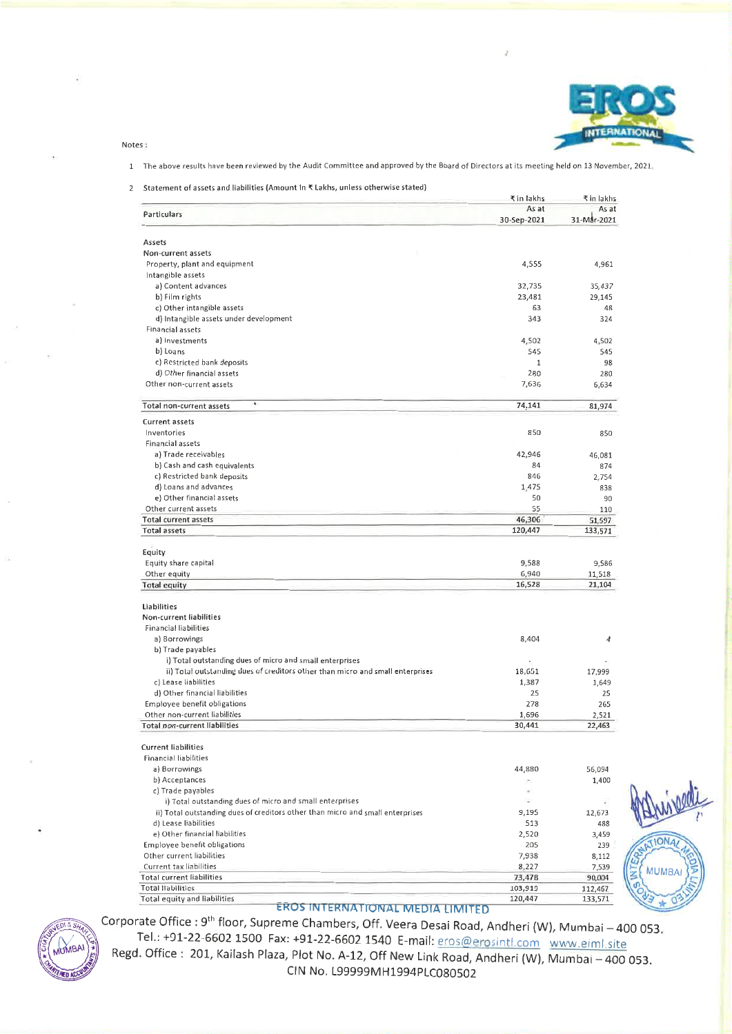

**IONA** 

**MUMR** 

 $\mathbf C$ 

#### Notes:

#### 1 The above results have been reviewed by the Audit Committee and approved by the Board of Directors at its meeting held on 13 November, 2021

#### 2 Statement of assets and liabilities (Amount In ₹ Lakhs, unless otherwise stated)

|                                                                                | ₹ in lakhs           | ₹ in lakhs           |
|--------------------------------------------------------------------------------|----------------------|----------------------|
| Particulars                                                                    | As at<br>30-Sep-2021 | As at<br>31-Mar-2021 |
|                                                                                |                      |                      |
| Assets                                                                         |                      |                      |
| Non-current assets<br>Property, plant and equipment                            |                      |                      |
| Intangible assets                                                              | 4,555                | 4,961                |
| a) Content advances                                                            |                      |                      |
| b) Film rights                                                                 | 32,735               | 35,437               |
| c) Other intangible assets                                                     | 23,481<br>63         | 29,145               |
| d) Intangible assets under development                                         | 343                  | 48<br>324            |
| <b>Financial assets</b>                                                        |                      |                      |
| a) Investments                                                                 | 4,502                |                      |
| b) Loans                                                                       | 545                  | 4,502<br>545         |
| c) Restricted bank deposits                                                    | $\mathbf{1}$         | 98                   |
| d) Other financial assets                                                      | 280                  |                      |
| Other non-current assets                                                       | 7,636                | 280<br>6,634         |
|                                                                                |                      |                      |
| ۰<br>Total non-current assets                                                  | 74,141               | 81,974               |
| <b>Current assets</b><br>Inventories                                           | 850                  | 850                  |
| <b>Financial assets</b>                                                        |                      |                      |
| a) Trade receivables                                                           |                      |                      |
| b) Cash and cash equivalents                                                   | 42,946<br>84         | 46,081               |
| c) Restricted bank deposits                                                    |                      | 874                  |
| d) Loans and advances                                                          | 846                  | 2,754                |
| e) Other financial assets                                                      | 1,475                | 838                  |
| Other current assets                                                           | 50<br>55             | 90                   |
| <b>Total current assets</b>                                                    |                      | 110                  |
| <b>Total assets</b>                                                            | 46,306<br>120,447    | 51,597               |
|                                                                                |                      | 133,571              |
| Equity                                                                         |                      |                      |
| Equity share capital                                                           | 9,588                | 9,586                |
| Other equity                                                                   | 6,940                | 11,518               |
| <b>Total equity</b>                                                            | 16,528               | 21,104               |
| Liabilities                                                                    |                      |                      |
| Non-current liabilities                                                        |                      |                      |
| <b>Financial liabilities</b>                                                   |                      |                      |
| a) Borrowings                                                                  | 8,404                | 4                    |
| b) Trade payables                                                              |                      |                      |
| i) Total outstanding dues of micro and small enterprises                       |                      |                      |
| ii) Total outstanding dues of creditors other than micro and small enterprises | 18,651               | 17,999               |
| c) Lease liabilities                                                           | 1,387                | 1,649                |
| d) Other financial liabilities                                                 | 25                   | 25                   |
| Employee benefit obligations                                                   | 278                  | 265                  |
| Other non-current liabilities<br><b>Total non-current liabilities</b>          | 1,696<br>30,441      | 2,521<br>22,463      |
|                                                                                |                      |                      |
| <b>Current liabilities</b>                                                     |                      |                      |
| <b>Financial liabilities</b>                                                   |                      |                      |
| a) Borrowings                                                                  | 44,880               | 56,094               |
| b) Acceptances                                                                 |                      | 1,400                |
| c) Trade payables                                                              | ×                    |                      |
| i) Total outstanding dues of micro and small enterprises                       |                      |                      |
| ii) Total outstanding dues of creditors other than micro and small enterprises | 9,195                | 12,673               |
| d) Lease liabilities                                                           | 513                  | 488                  |
| e) Other financial liabilities                                                 | 2,520                | 3,459                |
| Employee benefit obligations                                                   | 205                  | 239                  |
| Other current liabilities                                                      | 7,938                | 8,112                |
| Current tax liabilities                                                        | 8,227                | 7,539                |
| <b>Total current liabilities</b>                                               | 73,478               | 90,004               |
| <b>Total liabilities</b>                                                       | 103,919              | 112,467              |
| Total equity and liabilities                                                   | 120,447              | 133,571              |

## EROS INTERNATIONAL MEDIA LIMITED



Corporate Office : 9<sup>th</sup> floor, Supreme Chambers, Off. Veera Desai Road, Andheri (W), Mumbai - 400 053. Tel.: +91-22-6602 1500 Fax: +91-22-6602 1540 E-mail: eros@erosintl.com www.eiml.site

Regd. Office: 201, Kailash Plaza, Plot No. A-12, Off New Link Road, Andheri (W), Mumbai-400 053. CIN No. L99999MH1994PLC080502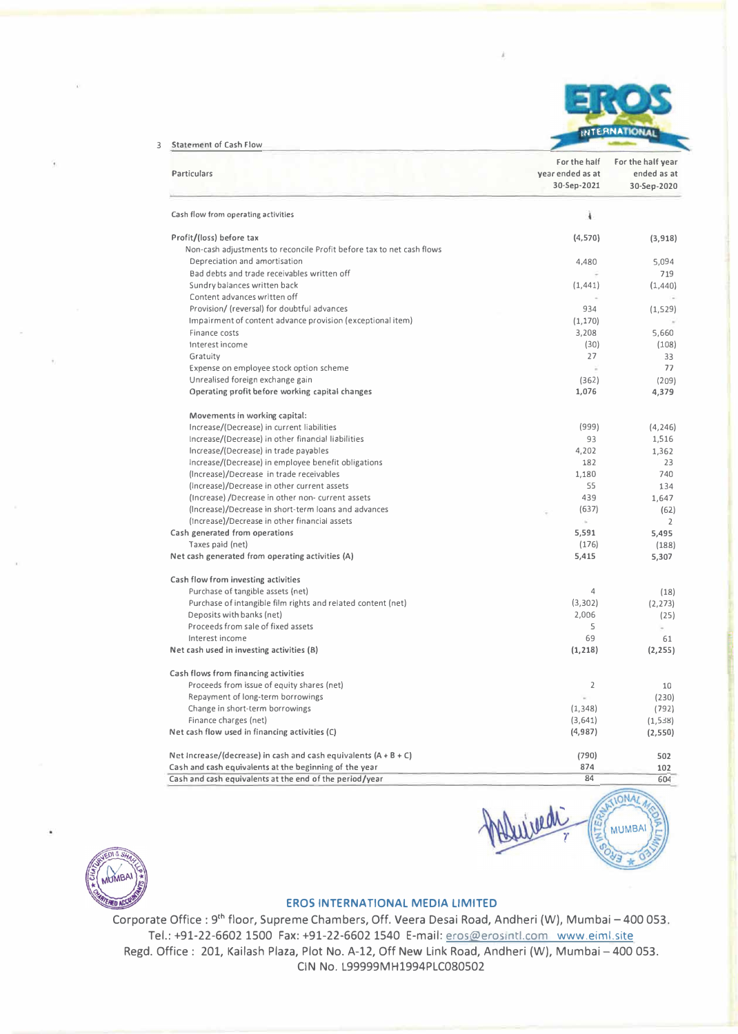

**84** 

ived

**IONAL** 

**MUMBAI** 

3 Staternent of Cash Flow

| <b>Particulars</b>                                                    | For the half<br>year ended as at<br>30-Sep-2021 | For the half year<br>ended as at<br>30-Sep-2020 |
|-----------------------------------------------------------------------|-------------------------------------------------|-------------------------------------------------|
| Cash flow from operating activities                                   | ì                                               |                                                 |
| Profit/(loss) before tax                                              | (4,570)                                         | (3, 918)                                        |
| Non-cash adjustments to reconcile Profit before tax to net cash flows |                                                 |                                                 |
| Depreciation and amortisation                                         | 4.480                                           | 5,094                                           |
| Bad debts and trade receivables written off                           |                                                 | 719                                             |
| Sundry balances written back                                          | (1, 441)                                        | (1,440)                                         |
| Content advances written off                                          |                                                 |                                                 |
| Provision/ (reversal) for doubtful advances                           | 934                                             | (1, 529)                                        |
| Impairment of content advance provision (exceptional item)            | (1, 170)                                        |                                                 |
| Finance costs                                                         | 3,208                                           | 5,660                                           |
| Interest income                                                       | (30)                                            | (108)                                           |
| Gratuity                                                              | 27                                              | 33                                              |
| Expense on employee stock option scheme                               |                                                 | 77                                              |
| Unrealised foreign exchange gain                                      | (362)                                           | (209)                                           |
| Operating profit before working capital changes                       | 1,076                                           | 4,379                                           |
| Movements in working capital:                                         |                                                 |                                                 |
| Increase/(Decrease) in current liabilities                            | (999)                                           | (4, 246)                                        |
| Increase/(Decrease) in other financial liabilities                    | 93                                              | 1,516                                           |
| Increase/(Decrease) in trade payables                                 | 4,202                                           | 1,362                                           |
| Increase/(Decrease) in employee benefit obligations                   | 182                                             | 23                                              |
| (Increase)/Decrease in trade receivables                              | 1,180                                           | 740                                             |
| (Increase)/Decrease in other current assets                           | 55                                              | 134                                             |
| (Increase) /Decrease in other non- current assets                     | 439                                             | 1,647                                           |
| (Increase)/Decrease in short-term loans and advances                  | (637)                                           | (62)                                            |
| (Increase)/Decrease in other financial assets                         | $\omega$                                        | $\overline{2}$                                  |
| Cash generated from operations                                        | 5,591                                           | 5,495                                           |
| Taxes paid (net)                                                      | (176)                                           | (188)                                           |
| Net cash generated from operating activities (A)                      | 5,415                                           | 5,307                                           |
| Cash flow from investing activities                                   |                                                 |                                                 |
| Purchase of tangible assets (net)                                     | 4                                               | (18)                                            |
| Purchase of intangible film rights and related content (net)          | (3,302)                                         | (2, 273)                                        |
| Deposits with banks (net)                                             | 2,006                                           | (25)                                            |
| Proceeds from sale of fixed assets                                    | 5                                               |                                                 |
| Interest income                                                       | 69                                              | 61                                              |
| Net cash used in investing activities (B)                             | (1, 218)                                        | (2, 255)                                        |
| Cash flows from financing activities                                  |                                                 |                                                 |
| Proceeds from issue of equity shares (net)                            | 2                                               | 10                                              |
| Repayment of long-term borrowings                                     |                                                 | (230)                                           |
| Change in short-term borrowings                                       | (1, 348)                                        | (792)                                           |
| Finance charges (net)                                                 | (3,641)                                         | (1,538)                                         |
| Net cash flow used in financing activities (C)                        | (4, 987)                                        | (2,550)                                         |
| Net Increase/(decrease) in cash and cash equivalents $(A + B + C)$    | (790)                                           | 502                                             |
| Cash and cash equivalents at the beginning of the year                | 874                                             | 102                                             |



### **EROS INTERNATIONAL MEDIA LIMITED**

Cash and cash equivalents at the end of the period/year

Corporate Office : 9<sup>th</sup> floor, Supreme Chambers, Off. Veera Desai Road, Andheri (W), Mumbai - 400 053. Tel.: +91-22-6602 1500 Fax: +91-22-6602 1540 E-mail: eros@erosintl.com www.eiml.site Regd. Office: 201, Kailash Plaza, Plot No. A-12, Off New Link Road, Andheri (W), Mumbai - 400 053. CIN No. L99999MH1994PLC080502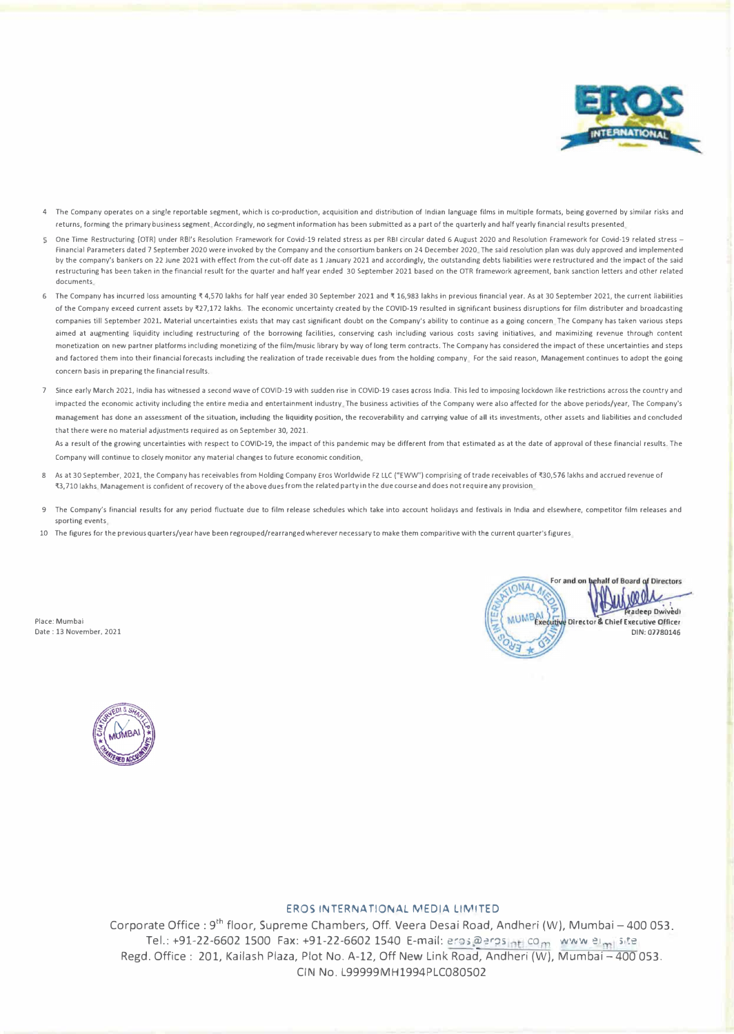

- **4 The Company operates on a single reportable segment, which is co-production, acquisition and distribution of Indian language films in multiple formats, being governed by similar risks and**  returns, forming the primary business segment, Accordingly, no segment information has been submitted as a part of the quarterly and half yearly financial results presented
- One Time Restructuring (OTR) under RBl's Resolution Framework for Covid-19 related stress as per RBI circular dated 6 August 2020 and Resolution Framework for Covid-19 related stress Financial Parameters dated 7 September 2020 were invoked by the Company and the consortium bankers on 24 December 2020 The said resolution plan was duly approved and implemented by the company's bankers on 22 June 2021 with effect from the cut-off date as 1 January 2021 and accordingly, the outstanding debts liabilities were restructured and the impact of the said restructuring has been taken in the financial result for the quarter and half year ended 30 September 2021 based on the OTR framework agreement, bank sanction letters and other related **documents**
- 6 The Company has incurred loss amounting ₹4,570 lakhs for half year ended 30 September 2021 and ₹16,983 lakhs in previous financial year. As at 30 September 2021, the current liabilities of the Company exceed current assets by �27,172 lakhs. The economic uncertainty created by the COVID-19 resulted in significant business disruptions for film distributer and broadcasting companies till September 2021. Material uncertainties exists that may cast significant doubt on the Company's ability to continue as a going concern. The Company has taken various steps aimed at augmenting liquidity including restructuring of the borrowing facilities, conserving cash including various costs saving initiatives, and maximizing revenue through content **monetization on new partner platforms including monetizing of the film/music library by way of long term contracts. The Company has considered the impact of these uncertainties and steps**  and factored them into their financial forecasts including the realization of trade receivable dues from the holding company. For the said reason, Management continues to adopt the going **concern basis in preparing the financial results.**
- 7 Since early March 2021, India has witnessed a second wave of COVID-19 with sudden rise in COVID-19 cases across India. This led to imposing lockdown like restrictions across the country and impacted the economic activity including the entire media and entertainment industry. The business activities of the Company were also affected for the above periods/year, The Company's **management has done an assessment of the situation, including the liquidity position, the recoverability and carrying value of all its investments, other assets and liabilities and concluded that there were no material adjustments required as on September 30, 2021.**

As a result of the growing uncertainties with respect to COVID-19, the impact of this pandemic may be different from that estimated as at the date of approval of these financial results. The **Company will continue to closely monitor any material changes to future economic condition** 

- As at 30 September, 2021, the Company has receivables from Holding Company Eros Worldwide FZ LLC ("EWW") comprising of trade receivables of ₹30,576 lakhs and accrued revenue of **�3, 710 lakhs Management is confident of recovery of the above dues from the related party in the due course and does not require any provision**
- The Company's financial results for any period fluctuate due to film release schedules which take into account holidays and festivals in India and elsewhere, competitor film releases and **sporting events**
- **10 The figures for the previous quarters/year have been regrouped/rearranged wherever necessary to make them comparitive with the current quarter's figures**





### EROS INTERNATIONAL MEDIA LIMITED

Corporate Office: 9<sup>th</sup> floor, Supreme Chambers, Off. Veera Desai Road, Andheri (W), Mumbai - 400 053. Tel.: +91-22-6602 1500 Fax: +91-22-6602 1540 E-mail: eros@erpsint.com www.eimisite Regd. Office: 201, Kailash Plaza, Plot No. A-12, Off New Link Road, Andheri (W), Mumbai-400 053. CIN No. L99999MH1994PLC080502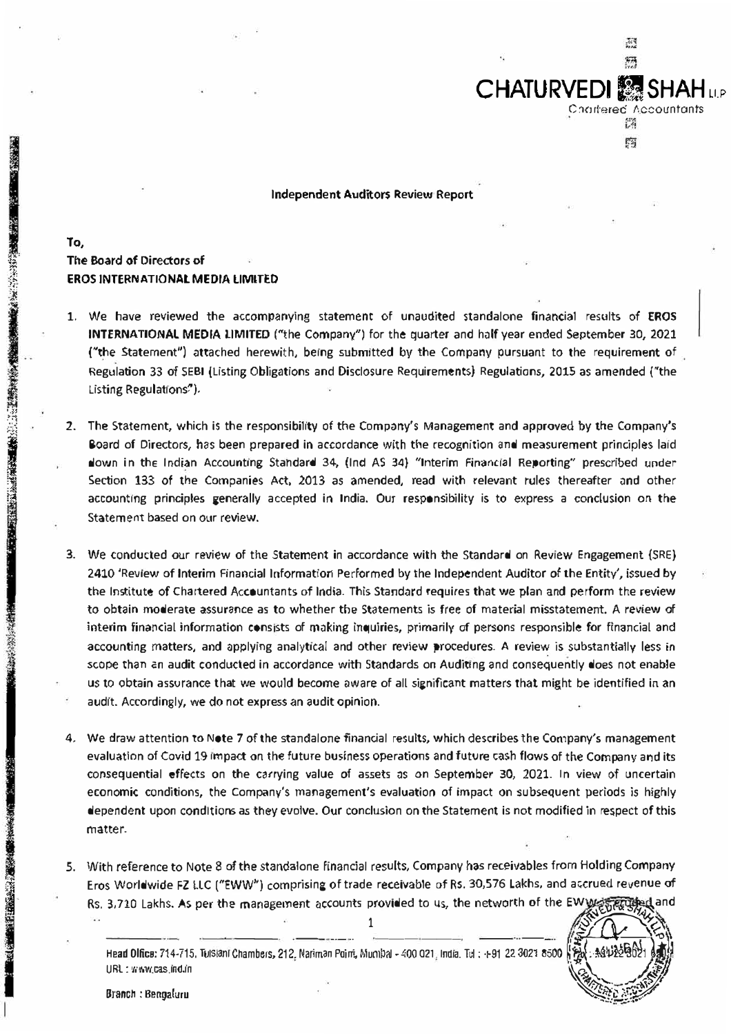

Independent Auditors Review Report

To. The Board of Directors of **;� EROS INTERNATIONAL MEDIA LIMITED**

**INSTRUCTION** 

公元の時、次後を実施みない、(1) 後者■時代法の間の以上的に変

- 1. We have reviewed the accompanying statement of unaudited standalone financial results of EROS INTERNATIONAL MEDIA LIMITED («the Company") for the quarter and holf year ended September 30, 2021 ("the Statement") attached herewith, being submitted by the Company pursuant to the requirement of Regulation 33 of SEBI (Listing Obligotions and Disclosure Requirements) Regulations, 2015 as amended ("the Listing Regulations<sup>7</sup>).
- 2. The Statement, which is the responsibility of the Company's Management and approved by the Company's Board of Directors, has been prepared in accordance with the recognition and measurement principles laid down in the Indian Accounting Standard **34,** (Ind AS **34)** "Interim Financial Reporting" prescribed under Section 133 of the Companies Act, 2013 as amended, read with relevant rules thereafter ond other accounting principles generally accepted in India. Our responsibility is to express a conclusion on the Statement based on our review.
- 3. We conducted our review of the Statement in accordance with the Standard on Review Engagement {SRE) 2410 'Review of Interim Financial Information Petformed by the Independent Auditor of the Entity', issued by the Institute of Chartered Accountants of India. This Standard requires that we plan and perform the review to obtain moderate assurance as to whether the Statements is free of material misstatement. A review of interim financial information consists of making inquiries, primarily of persons responsible for financial and accounting matters, and applying analytical and other review procedures. A review is substantially less in scope than an audit conducted in accordance with Standards on Auditing and consequently does not enable us to obtain assurance that we would become aware of all significant matters that might be identified in an audit. Accordingly, we do not express an audit opinion.
- 4. We draw attention to Note 7 of the standalone financial results, which describes the Company's management evaluation of Covid 19 impact on the future business operations and future cash flows of the Company and its consequential effects on the carrying value of assets as on September 30, 2021. In view of uncertain economic conditions, the Company's management's evaluation of impact on subsequent periods is highly dependent upon conditions as they evolve. Our conclusion on the Statement is not modified in respect of this matter.
- **5.** With reference to Note **8** of the standalone financial results, Company **has** receivables from Holding Company Eros Worldwide FZ LLC ("EWW") comprising of trade receivable *of* Rs. 30,576 Lakhs, and a�crued revenue of Rs. 3,710 Lakhs. As per the management accounts provided to us, the networth of the EW  $\chi$  $\frac{1}{\sqrt{2\pi}}$



Head Olfice: 714-715, Tuls,ani Chambers, 212, Nariman Point, Mumbal - 400 021 India. Tul ; +91 22 3021 6500 , india **URL: 'lihWCas in<J.,n \,\,** *//f/j*